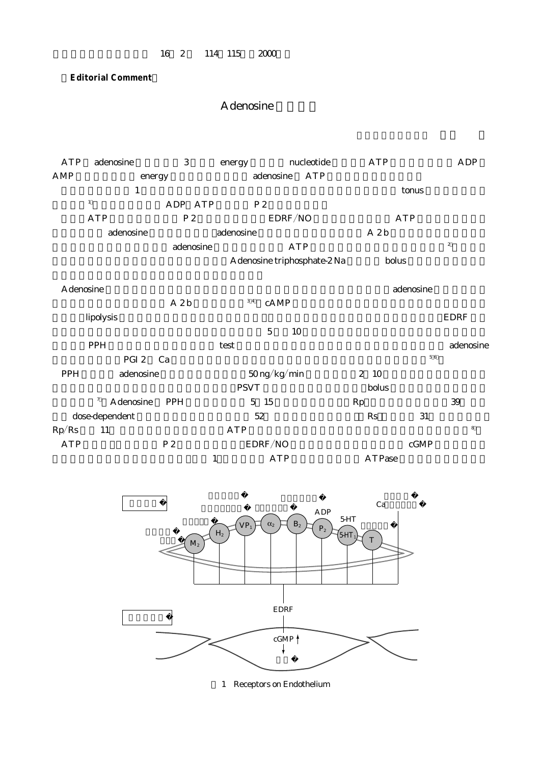## 16 2 114 115 2000

## **Editorial Comment**

## A denosine

ATP adenosine 3 energy mucleotide ATP ADP AMP energy adenosine ATP  $\mathbf 1$  tonus  $\mathbf 1$  $ADP$   $ATP$   $P2$  $ATP$   $P2$   $EDRF/NO$   $ATP$  $\alpha$ denosine  $\alpha$ denosine  $\alpha$  $\alpha$ denosine adenosine  $\Delta \text{TP}$ A denosine triphosphate-2 Na holus A denosine しょうしょうしゃ こうしゃ こうしゃ こうしゃ こうしゃ adenosine adenosine こうしょうしゃ こうしゃ こうしゃ こうしゃ  $A 2b$   $34$  cAMP があり,lipolysis の阻害作用と血小板凝集作用がある.肺循環での拡張作用は内皮非依存性であり,EDRF を介  $5 \t 10$ われる.PPH では肺血管拡張能の有無を test する負荷薬剤として用いられることがある.そして adenosine  $PGI 2 \text{ Ca}$ PPH adenosine 50 ng/kg/min 2 10  $\mathrm{PSVT}$  bolus extensive extensive bolus bolus bolus  $\mathrm{PSYT}$  $7 \text{ Adenosine}$  PPH  $5 \text{ } 15$   $\text{Rp}$   $\text{ } 39$ dose-dependent  $52$  Rs  $31$  $\rm Rp/Rs \, 11$   $\rm ATP$   $\rm ATP$   $\rm s$  $\begin{array}{lll} \mathrm{ATP} & \hspace{1.5cm} & \mathrm{P} \, 2 & \hspace{1.5cm} & \mathrm{EDRF/NO} \end{array}$  cGMP and the state of the ATP and ATP are the ATP assets a state of the ATP and ATP are controlled to the ATP and ATP are controlled to the ATP and ATP are controlled to the ATP and ATP are controlled to the ATP are controlled



1 Receptors on Endothelium